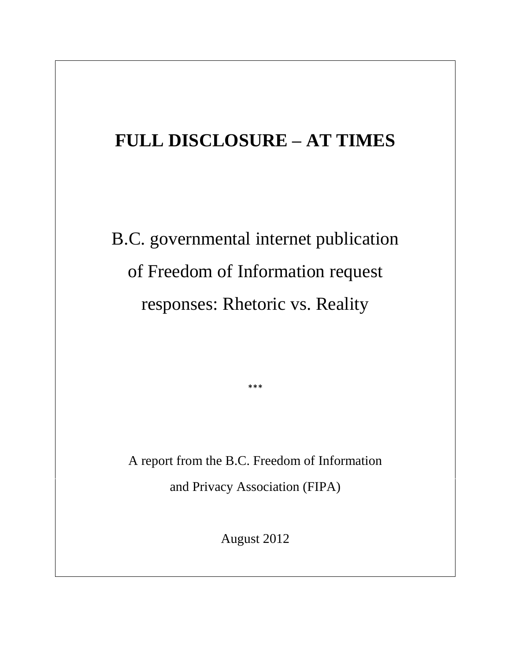# **FULL DISCLOSURE – AT TIMES**

B.C. governmental internet publication of Freedom of Information request responses: Rhetoric vs. Reality

A report from the B.C. Freedom of Information

\*\*\*

and Privacy Association (FIPA)

August 2012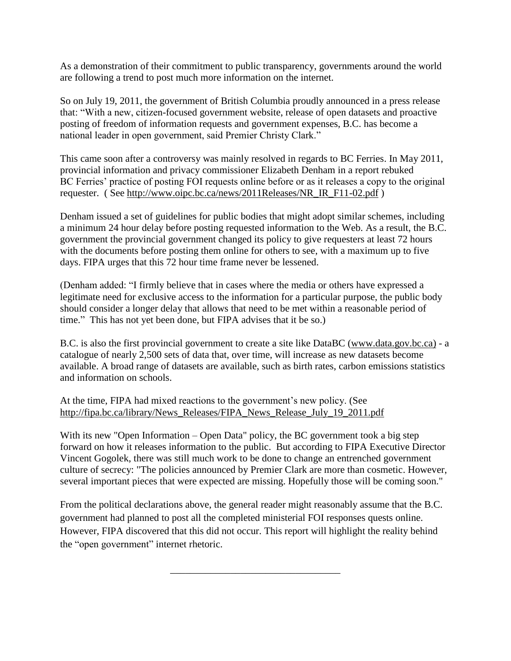As a demonstration of their commitment to public transparency, governments around the world are following a trend to post much more information on the internet.

So on July 19, 2011, the government of British Columbia proudly announced in a press release that: "With a new, citizen-focused government website, release of open datasets and proactive posting of freedom of information requests and government expenses, B.C. has become a national leader in open government, said Premier Christy Clark."

This came soon after a controversy was mainly resolved in regards to BC Ferries. In May 2011, provincial information and privacy commissioner Elizabeth Denham in a report rebuked BC Ferries' practice of posting FOI requests online before or as it releases a copy to the original requester. ( See [http://www.oipc.bc.ca/news/2011Releases/NR\\_IR\\_F11-02.pdf](http://www.oipc.bc.ca/news/2011Releases/NR_IR_F11-02.pdf) )

Denham issued a set of guidelines for public bodies that might adopt similar schemes, including a minimum 24 hour delay before posting requested information to the Web. As a result, the B.C. government the provincial government changed its policy to give requesters at least 72 hours with the documents before posting them online for others to see, with a maximum up to five days. FIPA urges that this 72 hour time frame never be lessened.

(Denham added: "I firmly believe that in cases where the media or others have expressed a legitimate need for exclusive access to the information for a particular purpose, the public body should consider a longer delay that allows that need to be met within a reasonable period of time." This has not yet been done, but FIPA advises that it be so.)

B.C. is also the first provincial government to create a site like DataBC [\(www.data.gov.bc.ca\)](http://www.data.gov.bc.ca/) - a catalogue of nearly 2,500 sets of data that, over time, will increase as new datasets become available. A broad range of datasets are available, such as birth rates, carbon emissions statistics and information on schools.

#### At the time, FIPA had mixed reactions to the government's new policy. (See [http://fipa.bc.ca/library/News\\_Releases/FIPA\\_News\\_Release\\_July\\_19\\_2011.pdf](http://fipa.bc.ca/library/News_Releases/FIPA_News_Release_July_19_2011.pdf)

With its new "Open Information – Open Data" policy, the BC government took a big step forward on how it releases information to the public. But according to FIPA Executive Director Vincent Gogolek, there was still much work to be done to change an entrenched government culture of secrecy: "The policies announced by Premier Clark are more than cosmetic. However, several important pieces that were expected are missing. Hopefully those will be coming soon."

From the political declarations above, the general reader might reasonably assume that the B.C. government had planned to post all the completed ministerial FOI responses quests online. However, FIPA discovered that this did not occur. This report will highlight the reality behind the "open government" internet rhetoric.

\_\_\_\_\_\_\_\_\_\_\_\_\_\_\_\_\_\_\_\_\_\_\_\_\_\_\_\_\_\_\_\_\_\_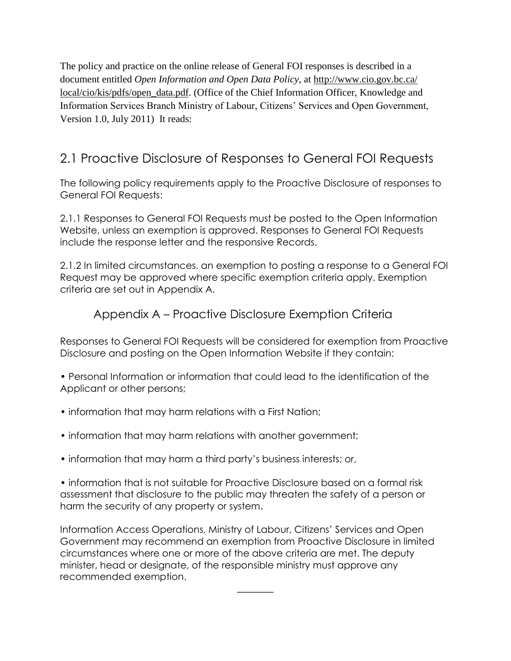The policy and practice on the online release of General FOI responses is described in a document entitled *Open Information and Open Data Policy,* at [http://www.cio.gov.bc.ca/](http://www.cio.gov.bc.ca/%20local/cio/kis/pdfs/open_data.pdf)  [local/cio/kis/pdfs/open\\_data.pdf.](http://www.cio.gov.bc.ca/%20local/cio/kis/pdfs/open_data.pdf) (Office of the Chief Information Officer, Knowledge and Information Services Branch Ministry of Labour, Citizens' Services and Open Government, Version 1.0, July 2011) It reads:

# 2.1 Proactive Disclosure of Responses to General FOI Requests

The following policy requirements apply to the Proactive Disclosure of responses to General FOI Requests:

2.1.1 Responses to General FOI Requests must be posted to the Open Information Website, unless an exemption is approved. Responses to General FOI Requests include the response letter and the responsive Records.

2.1.2 In limited circumstances, an exemption to posting a response to a General FOI Request may be approved where specific exemption criteria apply. Exemption criteria are set out in Appendix A.

# Appendix A – Proactive Disclosure Exemption Criteria

Responses to General FOI Requests will be considered for exemption from Proactive Disclosure and posting on the Open Information Website if they contain:

• Personal Information or information that could lead to the identification of the Applicant or other persons;

- information that may harm relations with a First Nation;
- information that may harm relations with another government;
- information that may harm a third party's business interests; or,

• information that is not suitable for Proactive Disclosure based on a formal risk assessment that disclosure to the public may threaten the safety of a person or harm the security of any property or system.

Information Access Operations, Ministry of Labour, Citizens' Services and Open Government may recommend an exemption from Proactive Disclosure in limited circumstances where one or more of the above criteria are met. The deputy minister, head or designate, of the responsible ministry must approve any recommended exemption.

 $\overline{\phantom{a}}$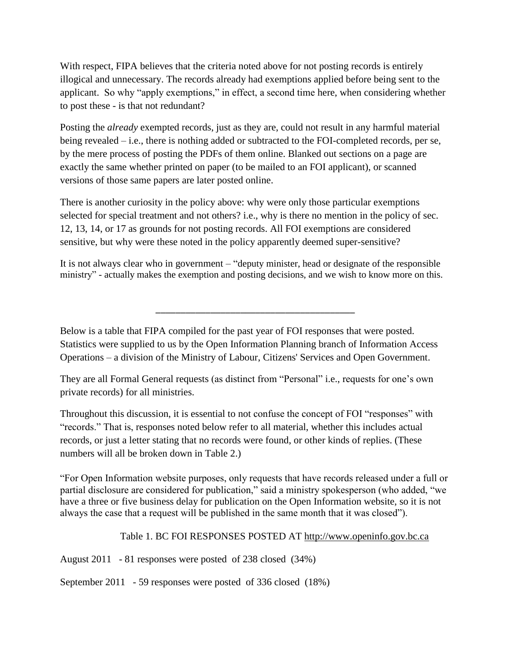With respect, FIPA believes that the criteria noted above for not posting records is entirely illogical and unnecessary. The records already had exemptions applied before being sent to the applicant. So why "apply exemptions," in effect, a second time here, when considering whether to post these - is that not redundant?

Posting the *already* exempted records, just as they are, could not result in any harmful material being revealed – i.e., there is nothing added or subtracted to the FOI-completed records, per se, by the mere process of posting the PDFs of them online. Blanked out sections on a page are exactly the same whether printed on paper (to be mailed to an FOI applicant), or scanned versions of those same papers are later posted online.

There is another curiosity in the policy above: why were only those particular exemptions selected for special treatment and not others? i.e., why is there no mention in the policy of sec. 12, 13, 14, or 17 as grounds for not posting records. All FOI exemptions are considered sensitive, but why were these noted in the policy apparently deemed super-sensitive?

It is not always clear who in government – "deputy minister, head or designate of the responsible ministry" - actually makes the exemption and posting decisions, and we wish to know more on this.

\_\_\_\_\_\_\_\_\_\_\_\_\_\_\_\_\_\_\_\_\_\_\_\_\_\_\_\_\_\_\_\_\_\_\_\_\_\_\_\_

Below is a table that FIPA compiled for the past year of FOI responses that were posted. Statistics were supplied to us by the Open Information Planning branch of Information Access Operations – a division of the Ministry of Labour, Citizens' Services and Open Government.

They are all Formal General requests (as distinct from "Personal" i.e., requests for one's own private records) for all ministries.

Throughout this discussion, it is essential to not confuse the concept of FOI "responses" with "records." That is, responses noted below refer to all material, whether this includes actual records, or just a letter stating that no records were found, or other kinds of replies. (These numbers will all be broken down in Table 2.)

"For Open Information website purposes, only requests that have records released under a full or partial disclosure are considered for publication," said a ministry spokesperson (who added, "we have a three or five business delay for publication on the Open Information website, so it is not always the case that a request will be published in the same month that it was closed").

Table 1. BC FOI RESPONSES POSTED AT [http://www.openinfo.gov.bc.ca](http://www.openinfo.gov.bc.ca/)

August 2011 - 81 responses were posted of 238 closed (34%)

September 2011 - 59 responses were posted of 336 closed (18%)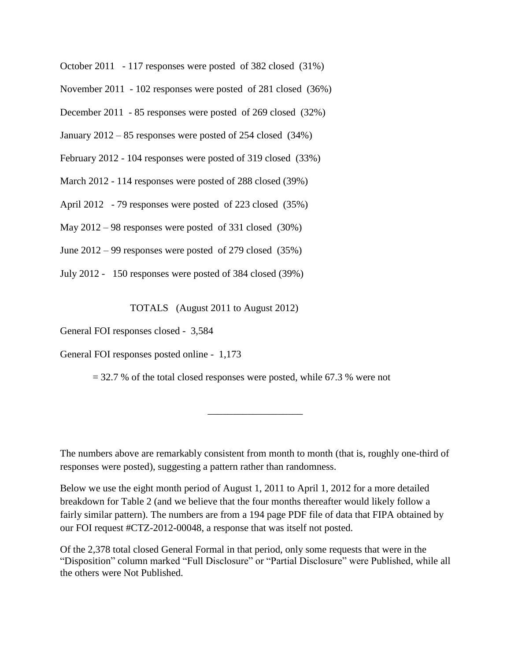October 2011 - 117 responses were posted of 382 closed (31%)

November 2011 - 102 responses were posted of 281 closed (36%)

December 2011 - 85 responses were posted of 269 closed (32%)

January 2012 – 85 responses were posted of 254 closed (34%)

February 2012 - 104 responses were posted of 319 closed (33%)

March 2012 - 114 responses were posted of 288 closed (39%)

April 2012 - 79 responses were posted of 223 closed (35%)

May 2012 – 98 responses were posted of 331 closed (30%)

June 2012 – 99 responses were posted of 279 closed (35%)

July 2012 - 150 responses were posted of 384 closed (39%)

TOTALS (August 2011 to August 2012)

General FOI responses closed - 3,584

General FOI responses posted online - 1,173

 $= 32.7$  % of the total closed responses were posted, while 67.3 % were not

The numbers above are remarkably consistent from month to month (that is, roughly one-third of responses were posted), suggesting a pattern rather than randomness.

\_\_\_\_\_\_\_\_\_\_\_\_\_\_\_\_\_\_\_

Below we use the eight month period of August 1, 2011 to April 1, 2012 for a more detailed breakdown for Table 2 (and we believe that the four months thereafter would likely follow a fairly similar pattern). The numbers are from a 194 page PDF file of data that FIPA obtained by our FOI request #CTZ-2012-00048, a response that was itself not posted.

Of the 2,378 total closed General Formal in that period, only some requests that were in the "Disposition" column marked "Full Disclosure" or "Partial Disclosure" were Published, while all the others were Not Published.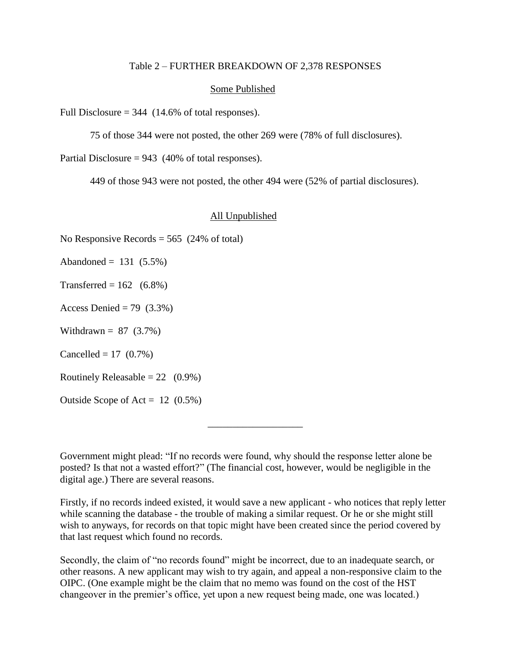#### Table 2 – FURTHER BREAKDOWN OF 2,378 RESPONSES

#### Some Published

Full Disclosure  $= 344$  (14.6% of total responses).

75 of those 344 were not posted, the other 269 were (78% of full disclosures).

Partial Disclosure =  $943$  (40% of total responses).

449 of those 943 were not posted, the other 494 were (52% of partial disclosures).

#### All Unpublished

No Responsive Records  $= 565$  (24% of total)

Abandoned =  $131 (5.5%)$ 

Transferred =  $162$  (6.8%)

Access Denied = 79  $(3.3\%)$ 

Withdrawn =  $87$  (3.7%)

Cancelled =  $17$  (0.7%)

Routinely Releasable =  $22 \quad (0.9\%)$ 

Outside Scope of Act =  $12$  (0.5%)

Government might plead: "If no records were found, why should the response letter alone be posted? Is that not a wasted effort?" (The financial cost, however, would be negligible in the digital age.) There are several reasons.

\_\_\_\_\_\_\_\_\_\_\_\_\_\_\_\_\_\_\_

Firstly, if no records indeed existed, it would save a new applicant - who notices that reply letter while scanning the database - the trouble of making a similar request. Or he or she might still wish to anyways, for records on that topic might have been created since the period covered by that last request which found no records.

Secondly, the claim of "no records found" might be incorrect, due to an inadequate search, or other reasons. A new applicant may wish to try again, and appeal a non-responsive claim to the OIPC. (One example might be the claim that no memo was found on the cost of the HST changeover in the premier's office, yet upon a new request being made, one was located.)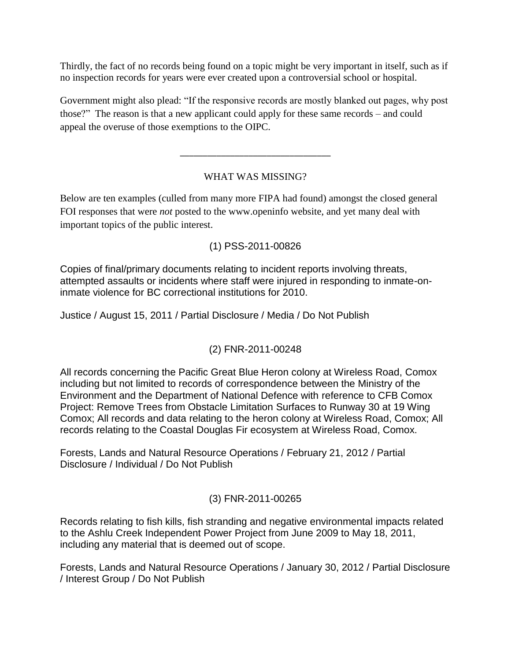Thirdly, the fact of no records being found on a topic might be very important in itself, such as if no inspection records for years were ever created upon a controversial school or hospital.

Government might also plead: "If the responsive records are mostly blanked out pages, why post those?" The reason is that a new applicant could apply for these same records – and could appeal the overuse of those exemptions to the OIPC.

# WHAT WAS MISSING?

\_\_\_\_\_\_\_\_\_\_\_\_\_\_\_\_\_\_\_\_\_\_\_\_\_\_\_\_\_\_\_\_\_

Below are ten examples (culled from many more FIPA had found) amongst the closed general FOI responses that were *not* posted to the www.openinfo website, and yet many deal with important topics of the public interest.

# (1) PSS-2011-00826

Copies of final/primary documents relating to incident reports involving threats, attempted assaults or incidents where staff were injured in responding to inmate-oninmate violence for BC correctional institutions for 2010.

Justice / August 15, 2011 / Partial Disclosure / Media / Do Not Publish

#### (2) FNR-2011-00248

All records concerning the Pacific Great Blue Heron colony at Wireless Road, Comox including but not limited to records of correspondence between the Ministry of the Environment and the Department of National Defence with reference to CFB Comox Project: Remove Trees from Obstacle Limitation Surfaces to Runway 30 at 19 Wing Comox; All records and data relating to the heron colony at Wireless Road, Comox; All records relating to the Coastal Douglas Fir ecosystem at Wireless Road, Comox.

Forests, Lands and Natural Resource Operations / February 21, 2012 / Partial Disclosure / Individual / Do Not Publish

#### (3) FNR-2011-00265

Records relating to fish kills, fish stranding and negative environmental impacts related to the Ashlu Creek Independent Power Project from June 2009 to May 18, 2011, including any material that is deemed out of scope.

Forests, Lands and Natural Resource Operations / January 30, 2012 / Partial Disclosure / Interest Group / Do Not Publish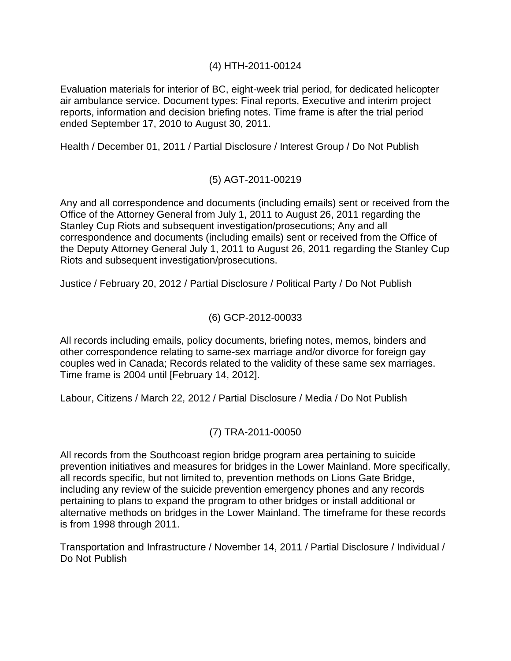# (4) HTH-2011-00124

Evaluation materials for interior of BC, eight-week trial period, for dedicated helicopter air ambulance service. Document types: Final reports, Executive and interim project reports, information and decision briefing notes. Time frame is after the trial period ended September 17, 2010 to August 30, 2011.

Health / December 01, 2011 / Partial Disclosure / Interest Group / Do Not Publish

# (5) AGT-2011-00219

Any and all correspondence and documents (including emails) sent or received from the Office of the Attorney General from July 1, 2011 to August 26, 2011 regarding the Stanley Cup Riots and subsequent investigation/prosecutions; Any and all correspondence and documents (including emails) sent or received from the Office of the Deputy Attorney General July 1, 2011 to August 26, 2011 regarding the Stanley Cup Riots and subsequent investigation/prosecutions.

Justice / February 20, 2012 / Partial Disclosure / Political Party / Do Not Publish

#### (6) GCP-2012-00033

All records including emails, policy documents, briefing notes, memos, binders and other correspondence relating to same-sex marriage and/or divorce for foreign gay couples wed in Canada; Records related to the validity of these same sex marriages. Time frame is 2004 until [February 14, 2012].

Labour, Citizens / March 22, 2012 / Partial Disclosure / Media / Do Not Publish

# (7) TRA-2011-00050

All records from the Southcoast region bridge program area pertaining to suicide prevention initiatives and measures for bridges in the Lower Mainland. More specifically, all records specific, but not limited to, prevention methods on Lions Gate Bridge, including any review of the suicide prevention emergency phones and any records pertaining to plans to expand the program to other bridges or install additional or alternative methods on bridges in the Lower Mainland. The timeframe for these records is from 1998 through 2011.

Transportation and Infrastructure / November 14, 2011 / Partial Disclosure / Individual / Do Not Publish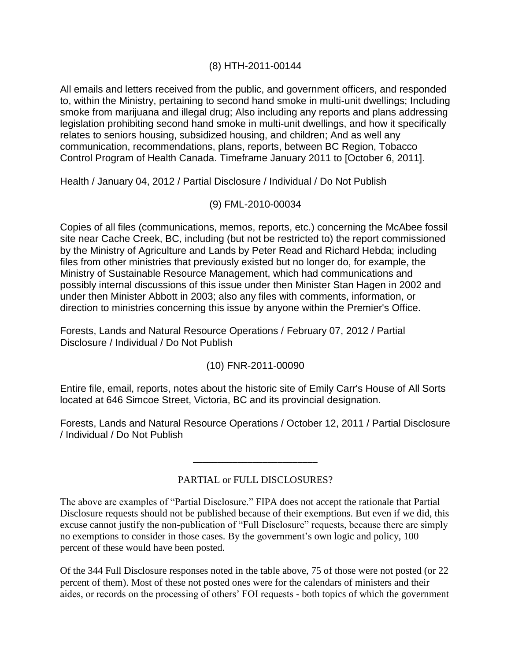#### (8) HTH-2011-00144

All emails and letters received from the public, and government officers, and responded to, within the Ministry, pertaining to second hand smoke in multi-unit dwellings; Including smoke from marijuana and illegal drug; Also including any reports and plans addressing legislation prohibiting second hand smoke in multi-unit dwellings, and how it specifically relates to seniors housing, subsidized housing, and children; And as well any communication, recommendations, plans, reports, between BC Region, Tobacco Control Program of Health Canada. Timeframe January 2011 to [October 6, 2011].

Health / January 04, 2012 / Partial Disclosure / Individual / Do Not Publish

# (9) FML-2010-00034

Copies of all files (communications, memos, reports, etc.) concerning the McAbee fossil site near Cache Creek, BC, including (but not be restricted to) the report commissioned by the Ministry of Agriculture and Lands by Peter Read and Richard Hebda; including files from other ministries that previously existed but no longer do, for example, the Ministry of Sustainable Resource Management, which had communications and possibly internal discussions of this issue under then Minister Stan Hagen in 2002 and under then Minister Abbott in 2003; also any files with comments, information, or direction to ministries concerning this issue by anyone within the Premier's Office.

Forests, Lands and Natural Resource Operations / February 07, 2012 / Partial Disclosure / Individual / Do Not Publish

# (10) FNR-2011-00090

Entire file, email, reports, notes about the historic site of Emily Carr's House of All Sorts located at 646 Simcoe Street, Victoria, BC and its provincial designation.

Forests, Lands and Natural Resource Operations / October 12, 2011 / Partial Disclosure / Individual / Do Not Publish

# PARTIAL or FULL DISCLOSURES?

\_\_\_\_\_\_\_\_\_\_\_\_\_\_\_\_\_\_\_\_\_\_\_\_\_

The above are examples of "Partial Disclosure." FIPA does not accept the rationale that Partial Disclosure requests should not be published because of their exemptions. But even if we did, this excuse cannot justify the non-publication of "Full Disclosure" requests, because there are simply no exemptions to consider in those cases. By the government's own logic and policy, 100 percent of these would have been posted.

Of the 344 Full Disclosure responses noted in the table above, 75 of those were not posted (or 22 percent of them). Most of these not posted ones were for the calendars of ministers and their aides, or records on the processing of others' FOI requests - both topics of which the government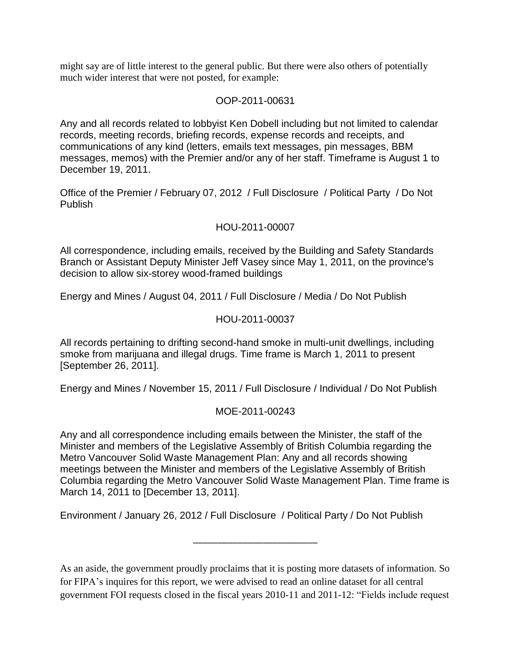might say are of little interest to the general public. But there were also others of potentially much wider interest that were not posted, for example:

#### OOP-2011-00631

Any and all records related to lobbyist Ken Dobell including but not limited to calendar records, meeting records, briefing records, expense records and receipts, and communications of any kind (letters, emails text messages, pin messages, BBM messages, memos) with the Premier and/or any of her staff. Timeframe is August 1 to December 19, 2011.

Office of the Premier / February 07, 2012 / Full Disclosure / Political Party / Do Not Publish

#### HOU-2011-00007

All correspondence, including emails, received by the Building and Safety Standards Branch or Assistant Deputy Minister Jeff Vasey since May 1, 2011, on the province's decision to allow six-storey wood-framed buildings

Energy and Mines / August 04, 2011 / Full Disclosure / Media / Do Not Publish

#### HOU-2011-00037

All records pertaining to drifting second-hand smoke in multi-unit dwellings, including smoke from marijuana and illegal drugs. Time frame is March 1, 2011 to present [September 26, 2011].

Energy and Mines / November 15, 2011 / Full Disclosure / Individual / Do Not Publish

#### MOE-2011-00243

Any and all correspondence including emails between the Minister, the staff of the Minister and members of the Legislative Assembly of British Columbia regarding the Metro Vancouver Solid Waste Management Plan: Any and all records showing meetings between the Minister and members of the Legislative Assembly of British Columbia regarding the Metro Vancouver Solid Waste Management Plan. Time frame is March 14, 2011 to [December 13, 2011].

Environment / January 26, 2012 / Full Disclosure / Political Party / Do Not Publish

As an aside, the government proudly proclaims that it is posting more datasets of information. So for FIPA's inquires for this report, we were advised to read an online dataset for all central government FOI requests closed in the fiscal years 2010-11 and 2011-12: "Fields include request

\_\_\_\_\_\_\_\_\_\_\_\_\_\_\_\_\_\_\_\_\_\_\_\_\_